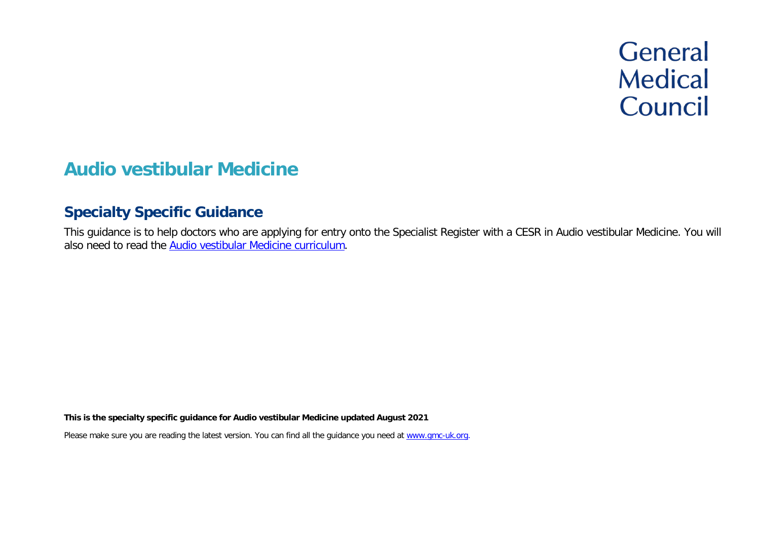# **General Medical** Council

# **Audio vestibular Medicine**

# **Specialty Specific Guidance**

This guidance is to help doctors who are applying for entry onto the Specialist Register with a CESR in Audio vestibular Medicine. You will also need to read the Audio [vestibular Medicine curriculum.](https://www.gmc-uk.org/education/standards-guidance-and-curricula/curricula)

**This is the specialty specific guidance for Audio vestibular Medicine updated August 2021**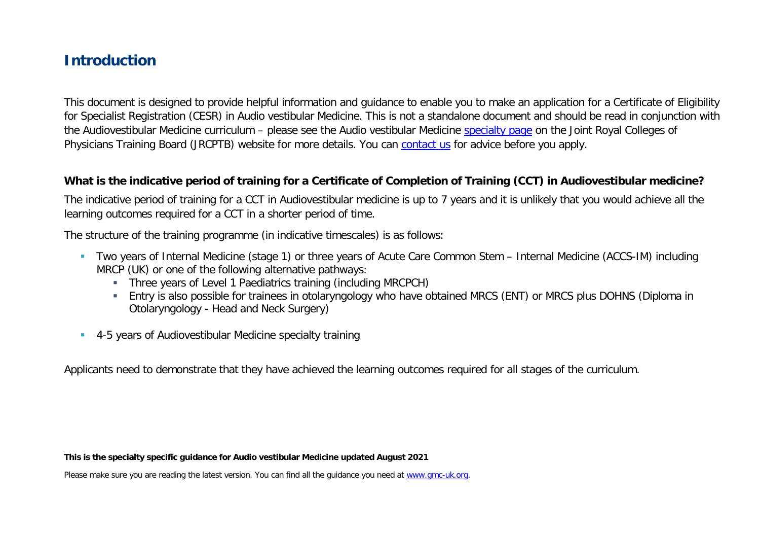# **Introduction**

This document is designed to provide helpful information and guidance to enable you to make an application for a Certificate of Eligibility for Specialist Registration (CESR) in Audio vestibular Medicine. This is not a standalone document and should be read in conjunction with the Audiovestibular Medicine curriculum – please see the Audio vestibular Medicine [specialty page](https://www.jrcptb.org.uk/specialties/audio-vestibular-medicine) on the Joint Royal Colleges of Physicians Training Board (JRCPTB) website for more details. You can [contact us](http://www.gmc-uk.org/about/contacts.asp) for advice before you apply.

#### **What is the indicative period of training for a Certificate of Completion of Training (CCT) in Audiovestibular medicine?**

The indicative period of training for a CCT in Audiovestibular medicine is up to 7 years and it is unlikely that you would achieve all the learning outcomes required for a CCT in a shorter period of time.

The structure of the training programme (in indicative timescales) is as follows:

- Two years of Internal Medicine (stage 1) or three years of Acute Care Common Stem Internal Medicine (ACCS-IM) including MRCP (UK) or one of the following alternative pathways:
	- Three years of Level 1 Paediatrics training (including MRCPCH)
	- Entry is also possible for trainees in otolaryngology who have obtained MRCS (ENT) or MRCS plus DOHNS (Diploma in Otolaryngology - Head and Neck Surgery)
- 4-5 years of Audiovestibular Medicine specialty training

Applicants need to demonstrate that they have achieved the learning outcomes required for all stages of the curriculum.

**This is the specialty specific guidance for Audio vestibular Medicine updated August 2021**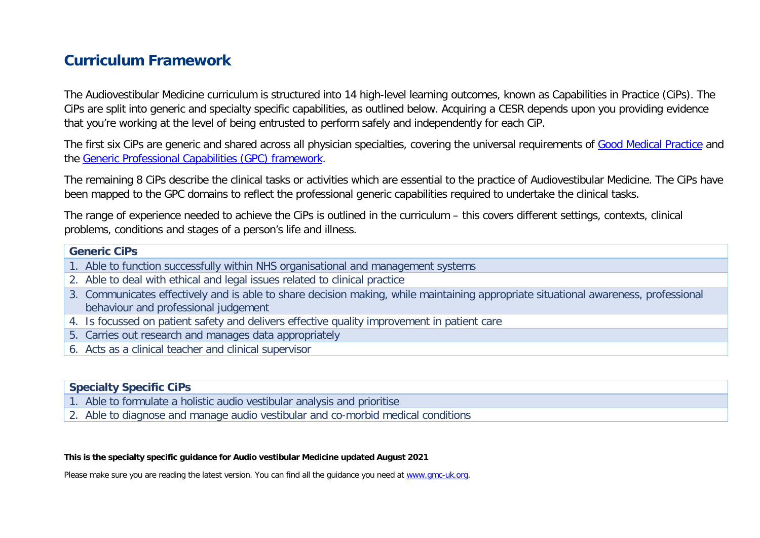# **Curriculum Framework**

The Audiovestibular Medicine curriculum is structured into 14 high-level learning outcomes, known as Capabilities in Practice (CiPs). The CiPs are split into generic and specialty specific capabilities, as outlined below. Acquiring a CESR depends upon you providing evidence that you're working at the level of being entrusted to perform safely and independently for each CiP.

The first six CiPs are generic and shared across all physician specialties, covering the universal requirements of [Good Medical Practice](https://www.gmc-uk.org/-/media/documents/good-medical-practice---english-20200128_pdf-51527435.pdf?la=en&hash=DA1263358CCA88F298785FE2BD7610EB4EE9A530) and the [Generic Professional Capabilities \(GPC\) framework.](https://www.gmc-uk.org/-/media/documents/generic-professional-capabilities-framework--0817_pdf-70417127.pdf)

The remaining 8 CiPs describe the clinical tasks or activities which are essential to the practice of Audiovestibular Medicine. The CiPs have been mapped to the GPC domains to reflect the professional generic capabilities required to undertake the clinical tasks.

The range of experience needed to achieve the CiPs is outlined in the curriculum – this covers different settings, contexts, clinical problems, conditions and stages of a person's life and illness.

#### **Generic CiPs**

- 1. Able to function successfully within NHS organisational and management systems
- 2. Able to deal with ethical and legal issues related to clinical practice
- 3. Communicates effectively and is able to share decision making, while maintaining appropriate situational awareness, professional behaviour and professional judgement
- 4. Is focussed on patient safety and delivers effective quality improvement in patient care
- 5. Carries out research and manages data appropriately
- 6. Acts as a clinical teacher and clinical supervisor

#### **Specialty Specific CiPs**

- 1. Able to formulate a holistic audio vestibular analysis and prioritise
- 2. Able to diagnose and manage audio vestibular and co-morbid medical conditions

#### **This is the specialty specific guidance for Audio vestibular Medicine updated August 2021**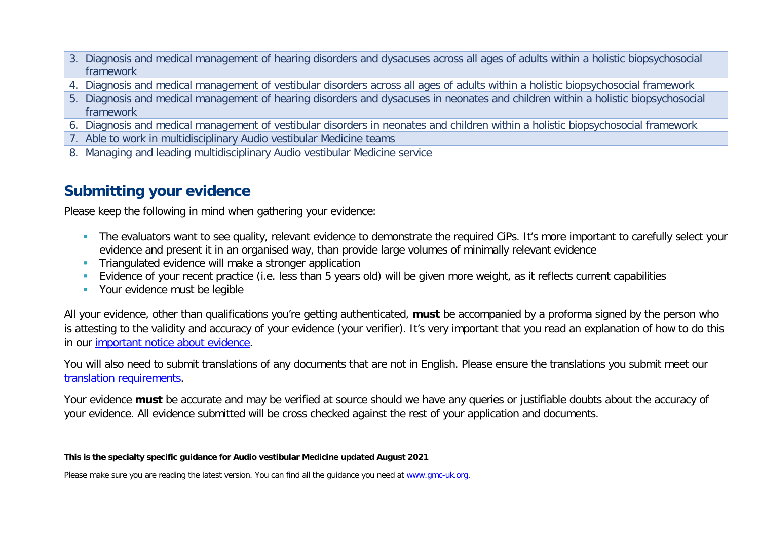- 3. Diagnosis and medical management of hearing disorders and dysacuses across all ages of adults within a holistic biopsychosocial framework
- 4. Diagnosis and medical management of vestibular disorders across all ages of adults within a holistic biopsychosocial framework
- 5. Diagnosis and medical management of hearing disorders and dysacuses in neonates and children within a holistic biopsychosocial framework
- 6. Diagnosis and medical management of vestibular disorders in neonates and children within a holistic biopsychosocial framework
- 7. Able to work in multidisciplinary Audio vestibular Medicine teams
- 8. Managing and leading multidisciplinary Audio vestibular Medicine service

# **Submitting your evidence**

Please keep the following in mind when gathering your evidence:

- The evaluators want to see quality, relevant evidence to demonstrate the required CiPs. It's more important to carefully select your evidence and present it in an organised way, than provide large volumes of minimally relevant evidence
- **Triangulated evidence will make a stronger application**
- Evidence of your recent practice (i.e. less than 5 years old) will be given more weight, as it reflects current capabilities
- **•** Your evidence must be legible

All your evidence, other than qualifications you're getting authenticated, **must** be accompanied by a proforma signed by the person who is attesting to the validity and accuracy of your evidence (your verifier). It's very important that you read an explanation of how to do this in our [important notice about evidence.](http://www.gmc-uk.org/doctors/evidence_notice.asp)

You will also need to submit translations of any documents that are not in English. Please ensure the translations you submit meet our [translation requirements.](http://www.gmc-uk.org/doctors/translations.asp)

Your evidence **must** be accurate and may be verified at source should we have any queries or justifiable doubts about the accuracy of your evidence. All evidence submitted will be cross checked against the rest of your application and documents.

#### **This is the specialty specific guidance for Audio vestibular Medicine updated August 2021**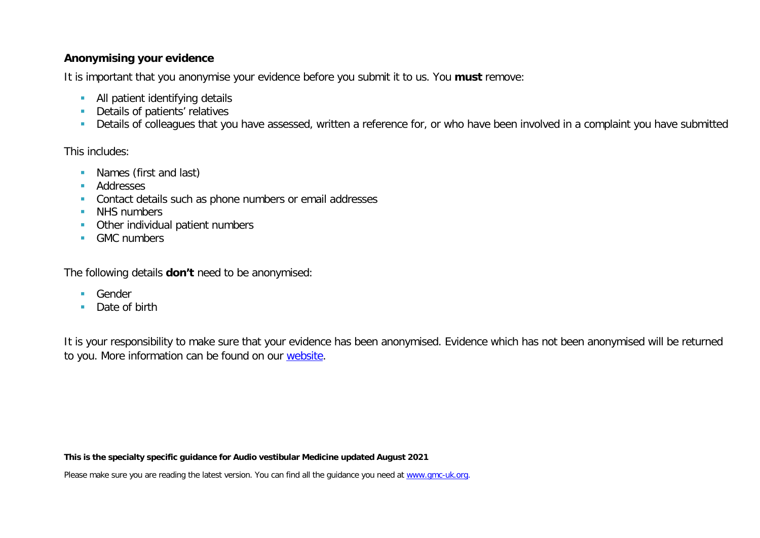#### **Anonymising your evidence**

It is important that you anonymise your evidence before you submit it to us. You **must** remove:

- **All patient identifying details**
- **Details of patients' relatives**
- Details of colleagues that you have assessed, written a reference for, or who have been involved in a complaint you have submitted

This includes:

- **Names (first and last)**
- **Addresses**
- **Contact details such as phone numbers or email addresses**
- **NHS numbers**
- **•** Other individual patient numbers
- GMC numbers

The following details **don't** need to be anonymised:

- **Gender**
- Date of birth

It is your responsibility to make sure that your evidence has been anonymised. Evidence which has not been anonymised will be returned to you. More information can be found on our [website.](https://www.gmc-uk.org/registration-and-licensing/join-the-register/registration-applications/cesr-cegpr-application-process/anonymisation)

**This is the specialty specific guidance for Audio vestibular Medicine updated August 2021**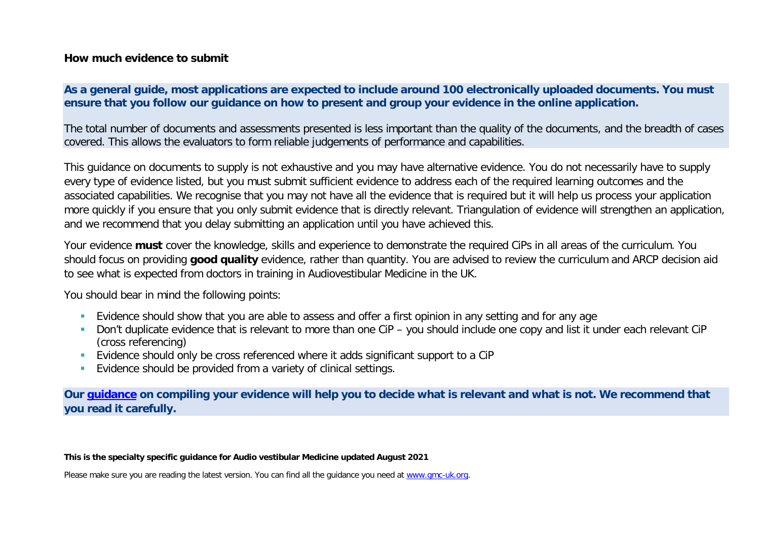#### **How much evidence to submit**

#### **As a general guide, most applications are expected to include around 100 electronically uploaded documents. You must ensure that you follow our guidance on how to present and group your evidence in the online application.**

The total number of documents and assessments presented is less important than the quality of the documents, and the breadth of cases covered. This allows the evaluators to form reliable judgements of performance and capabilities.

This guidance on documents to supply is not exhaustive and you may have alternative evidence. You do not necessarily have to supply every type of evidence listed, but you must submit sufficient evidence to address each of the required learning outcomes and the associated capabilities. We recognise that you may not have all the evidence that is required but it will help us process your application more quickly if you ensure that you only submit evidence that is directly relevant. Triangulation of evidence will strengthen an application, and we recommend that you delay submitting an application until you have achieved this.

Your evidence **must** cover the knowledge, skills and experience to demonstrate the required CiPs in all areas of the curriculum. You should focus on providing **good quality** evidence, rather than quantity. You are advised to review the curriculum and ARCP decision aid to see what is expected from doctors in training in Audiovestibular Medicine in the UK.

You should bear in mind the following points:

- **Evidence should show that you are able to assess and offer a first opinion in any setting and for any age**
- Don't duplicate evidence that is relevant to more than one CiP you should include one copy and list it under each relevant CiP (cross referencing)
- Evidence should only be cross referenced where it adds significant support to a CiP
- **Evidence should be provided from a variety of clinical settings.**

**Our [guidance](https://www.gmc-uk.org/-/media/documents/sat---cesr-cegpr-online-application---user-guide---dc11550_pdf-76194730.pdf) on compiling your evidence will help you to decide what is relevant and what is not. We recommend that you read it carefully.**

**This is the specialty specific guidance for Audio vestibular Medicine updated August 2021**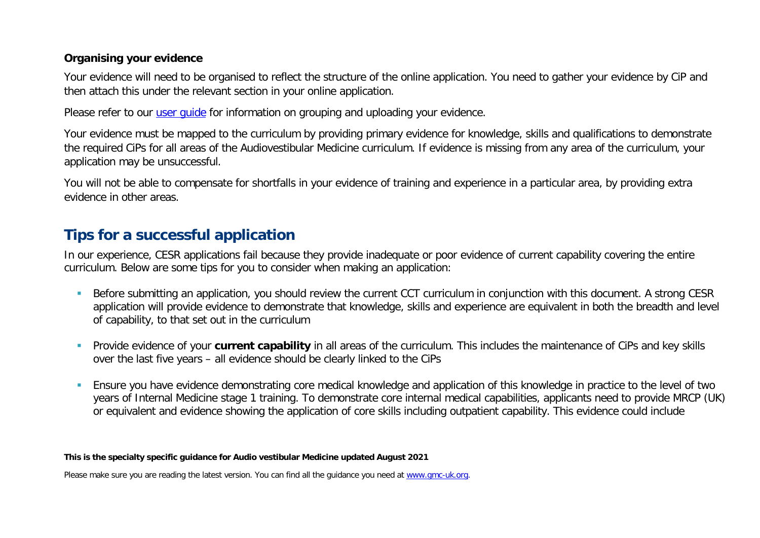#### **Organising your evidence**

Your evidence will need to be organised to reflect the structure of the online application. You need to gather your evidence by CiP and then attach this under the relevant section in your online application.

Please refer to our user quide for information on grouping and uploading your evidence.

Your evidence must be mapped to the curriculum by providing primary evidence for knowledge, skills and qualifications to demonstrate the required CiPs for all areas of the Audiovestibular Medicine curriculum. If evidence is missing from any area of the curriculum, your application may be unsuccessful.

You will not be able to compensate for shortfalls in your evidence of training and experience in a particular area, by providing extra evidence in other areas.

# **Tips for a successful application**

In our experience, CESR applications fail because they provide inadequate or poor evidence of current capability covering the entire curriculum. Below are some tips for you to consider when making an application:

- Before submitting an application, you should review the current CCT curriculum in conjunction with this document. A strong CESR application will provide evidence to demonstrate that knowledge, skills and experience are equivalent in both the breadth and level of capability, to that set out in the curriculum
- Provide evidence of your **current capability** in all areas of the curriculum. This includes the maintenance of CiPs and key skills over the last five years – all evidence should be clearly linked to the CiPs
- Ensure you have evidence demonstrating core medical knowledge and application of this knowledge in practice to the level of two years of Internal Medicine stage 1 training. To demonstrate core internal medical capabilities, applicants need to provide MRCP (UK) or equivalent and evidence showing the application of core skills including outpatient capability. This evidence could include

#### **This is the specialty specific guidance for Audio vestibular Medicine updated August 2021**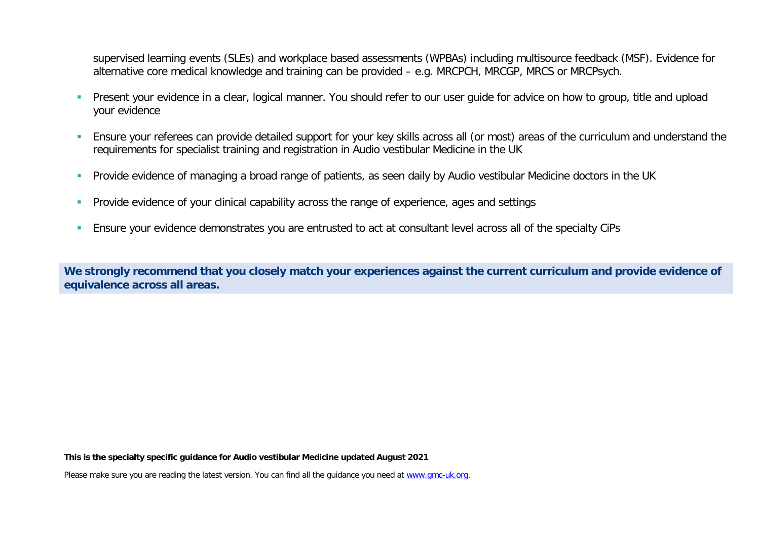supervised learning events (SLEs) and workplace based assessments (WPBAs) including multisource feedback (MSF). Evidence for alternative core medical knowledge and training can be provided – e.g. MRCPCH, MRCGP, MRCS or MRCPsych.

- **Present your evidence in a clear, logical manner. You should refer to our user quide for advice on how to group, title and upload in Present Vour evidence in a clear, logical manner. You should refer to our user quide for** your evidence
- Ensure your referees can provide detailed support for your key skills across all (or most) areas of the curriculum and understand the requirements for specialist training and registration in Audio vestibular Medicine in the UK
- **Provide evidence of managing a broad range of patients, as seen daily by Audio vestibular Medicine doctors in the UK**
- **Provide evidence of your clinical capability across the range of experience, ages and settings**
- Ensure your evidence demonstrates you are entrusted to act at consultant level across all of the specialty CiPs

**We strongly recommend that you closely match your experiences against the current curriculum and provide evidence of equivalence across all areas.** 

**This is the specialty specific guidance for Audio vestibular Medicine updated August 2021**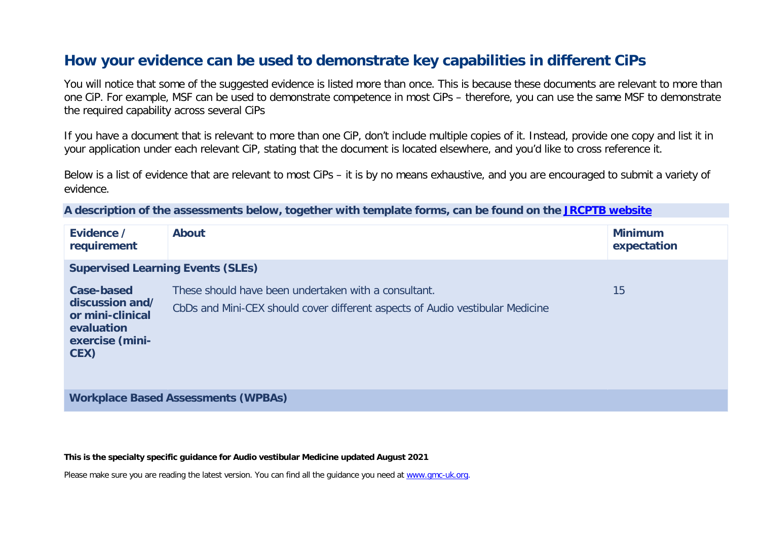# **How your evidence can be used to demonstrate key capabilities in different CiPs**

You will notice that some of the suggested evidence is listed more than once. This is because these documents are relevant to more than one CiP. For example, MSF can be used to demonstrate competence in most CiPs – therefore, you can use the same MSF to demonstrate the required capability across several CiPs

If you have a document that is relevant to more than one CiP, don't include multiple copies of it. Instead, provide one copy and list it in your application under each relevant CiP, stating that the document is located elsewhere, and you'd like to cross reference it.

Below is a list of evidence that are relevant to most CiPs – it is by no means exhaustive, and you are encouraged to submit a variety of evidence.

**A description of the assessments below, together with template forms, can be found on the [JRCPTB website](https://www.jrcptb.org.uk/assessment/workplace-based-assessment)**

| Evidence /<br>requirement                                                                  | <b>About</b>                                                                                                                          | <b>Minimum</b><br>expectation |
|--------------------------------------------------------------------------------------------|---------------------------------------------------------------------------------------------------------------------------------------|-------------------------------|
| <b>Supervised Learning Events (SLEs)</b>                                                   |                                                                                                                                       |                               |
| Case-based<br>discussion and/<br>or mini-clinical<br>evaluation<br>exercise (mini-<br>CEX) | These should have been undertaken with a consultant.<br>CbDs and Mini-CEX should cover different aspects of Audio vestibular Medicine | 15                            |

**Workplace Based Assessments (WPBAs)**

**This is the specialty specific guidance for Audio vestibular Medicine updated August 2021**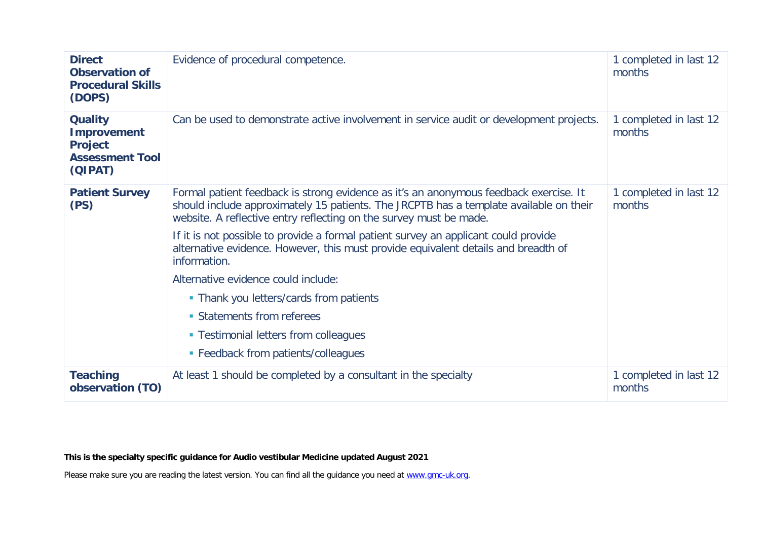| <b>Direct</b><br><b>Observation of</b><br><b>Procedural Skills</b><br>(DOPS)                | Evidence of procedural competence.                                                                                                                                                                                                                                                                                                                                                                                                                                                                                                                                                                                                                 | 1 completed in last 12<br>months |
|---------------------------------------------------------------------------------------------|----------------------------------------------------------------------------------------------------------------------------------------------------------------------------------------------------------------------------------------------------------------------------------------------------------------------------------------------------------------------------------------------------------------------------------------------------------------------------------------------------------------------------------------------------------------------------------------------------------------------------------------------------|----------------------------------|
| <b>Quality</b><br><b>Improvement</b><br><b>Project</b><br><b>Assessment Tool</b><br>(QIPAT) | Can be used to demonstrate active involvement in service audit or development projects.                                                                                                                                                                                                                                                                                                                                                                                                                                                                                                                                                            | 1 completed in last 12<br>months |
| <b>Patient Survey</b><br>(PS)                                                               | Formal patient feedback is strong evidence as it's an anonymous feedback exercise. It<br>should include approximately 15 patients. The JRCPTB has a template available on their<br>website. A reflective entry reflecting on the survey must be made.<br>If it is not possible to provide a formal patient survey an applicant could provide<br>alternative evidence. However, this must provide equivalent details and breadth of<br>information.<br>Alternative evidence could include:<br>• Thank you letters/cards from patients<br>• Statements from referees<br>• Testimonial letters from colleagues<br>• Feedback from patients/colleagues | 1 completed in last 12<br>months |
| <b>Teaching</b><br>observation (TO)                                                         | At least 1 should be completed by a consultant in the specialty                                                                                                                                                                                                                                                                                                                                                                                                                                                                                                                                                                                    | 1 completed in last 12<br>months |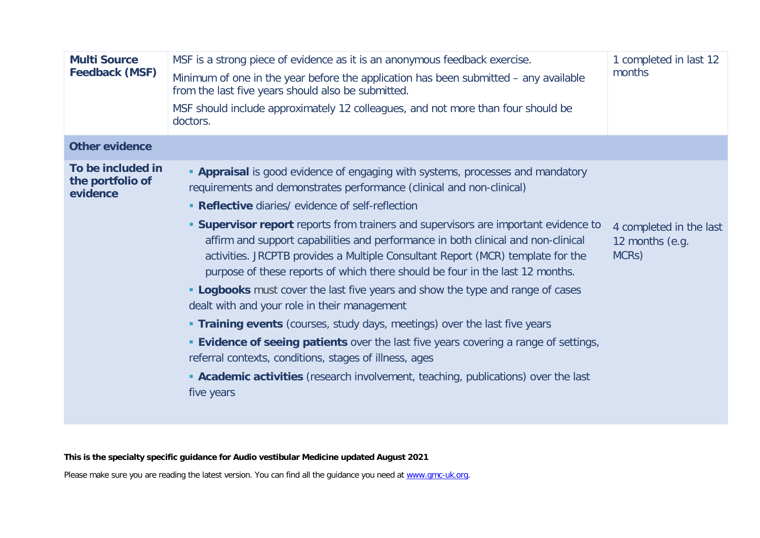| <b>Multi Source</b><br><b>Feedback (MSF)</b>      | MSF is a strong piece of evidence as it is an anonymous feedback exercise.<br>Minimum of one in the year before the application has been submitted – any available<br>from the last five years should also be submitted.<br>MSF should include approximately 12 colleagues, and not more than four should be<br>doctors.                                                                                                                                                                                                                                                                                                                                                                                                                                                                                                                                                                                                                                                                                                                                             | 1 completed in last 12<br>months                                 |
|---------------------------------------------------|----------------------------------------------------------------------------------------------------------------------------------------------------------------------------------------------------------------------------------------------------------------------------------------------------------------------------------------------------------------------------------------------------------------------------------------------------------------------------------------------------------------------------------------------------------------------------------------------------------------------------------------------------------------------------------------------------------------------------------------------------------------------------------------------------------------------------------------------------------------------------------------------------------------------------------------------------------------------------------------------------------------------------------------------------------------------|------------------------------------------------------------------|
| <b>Other evidence</b>                             |                                                                                                                                                                                                                                                                                                                                                                                                                                                                                                                                                                                                                                                                                                                                                                                                                                                                                                                                                                                                                                                                      |                                                                  |
| To be included in<br>the portfolio of<br>evidence | <b>- Appraisal</b> is good evidence of engaging with systems, processes and mandatory<br>requirements and demonstrates performance (clinical and non-clinical)<br>• Reflective diaries/ evidence of self-reflection<br><b>Supervisor report</b> reports from trainers and supervisors are important evidence to<br>affirm and support capabilities and performance in both clinical and non-clinical<br>activities. JRCPTB provides a Multiple Consultant Report (MCR) template for the<br>purpose of these reports of which there should be four in the last 12 months.<br><b>- Logbooks</b> must cover the last five years and show the type and range of cases<br>dealt with and your role in their management<br><b>Training events</b> (courses, study days, meetings) over the last five years<br><b>Evidence of seeing patients</b> over the last five years covering a range of settings,<br>referral contexts, conditions, stages of illness, ages<br><b>Academic activities</b> (research involvement, teaching, publications) over the last<br>five years | 4 completed in the last<br>12 months (e.g.<br>MCR <sub>S</sub> ) |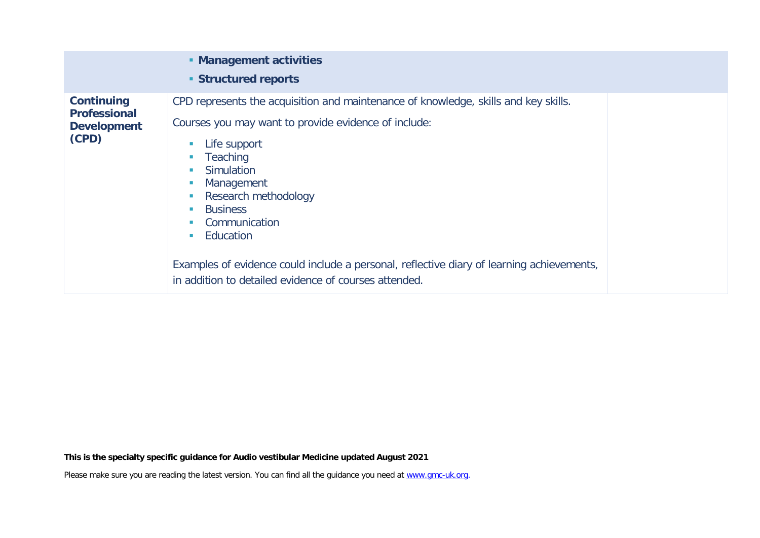|                                                                         | • Management activities<br><b>Structured reports</b>                                                                                                                                                                                                                                                                                                                                                                                                  |  |
|-------------------------------------------------------------------------|-------------------------------------------------------------------------------------------------------------------------------------------------------------------------------------------------------------------------------------------------------------------------------------------------------------------------------------------------------------------------------------------------------------------------------------------------------|--|
| <b>Continuing</b><br><b>Professional</b><br><b>Development</b><br>(CPD) | CPD represents the acquisition and maintenance of knowledge, skills and key skills.<br>Courses you may want to provide evidence of include:<br>Life support<br><b>Teaching</b><br>Simulation<br>Management<br>Research methodology<br><b>Business</b><br>Communication<br>Education<br><b>I</b><br>Examples of evidence could include a personal, reflective diary of learning achievements,<br>in addition to detailed evidence of courses attended. |  |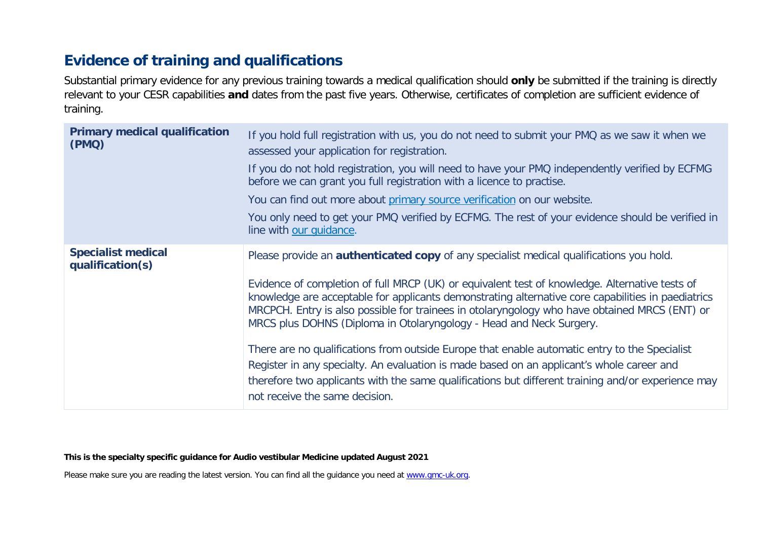# **Evidence of training and qualifications**

Substantial primary evidence for any previous training towards a medical qualification should **only** be submitted if the training is directly relevant to your CESR capabilities **and** dates from the past five years. Otherwise, certificates of completion are sufficient evidence of training.

| <b>Primary medical qualification</b><br>(PMQ) | If you hold full registration with us, you do not need to submit your PMQ as we saw it when we<br>assessed your application for registration.                                                                                                                                                                                                                                |
|-----------------------------------------------|------------------------------------------------------------------------------------------------------------------------------------------------------------------------------------------------------------------------------------------------------------------------------------------------------------------------------------------------------------------------------|
|                                               | If you do not hold registration, you will need to have your PMQ independently verified by ECFMG<br>before we can grant you full registration with a licence to practise.                                                                                                                                                                                                     |
|                                               | You can find out more about primary source verification on our website.                                                                                                                                                                                                                                                                                                      |
|                                               | You only need to get your PMQ verified by ECFMG. The rest of your evidence should be verified in<br>line with our quidance.                                                                                                                                                                                                                                                  |
| <b>Specialist medical</b><br>qualification(s) | Please provide an <b>authenticated copy</b> of any specialist medical qualifications you hold.                                                                                                                                                                                                                                                                               |
|                                               | Evidence of completion of full MRCP (UK) or equivalent test of knowledge. Alternative tests of<br>knowledge are acceptable for applicants demonstrating alternative core capabilities in paediatrics<br>MRCPCH. Entry is also possible for trainees in otolaryngology who have obtained MRCS (ENT) or<br>MRCS plus DOHNS (Diploma in Otolaryngology - Head and Neck Surgery. |
|                                               | There are no qualifications from outside Europe that enable automatic entry to the Specialist                                                                                                                                                                                                                                                                                |
|                                               | Register in any specialty. An evaluation is made based on an applicant's whole career and<br>therefore two applicants with the same qualifications but different training and/or experience may<br>not receive the same decision.                                                                                                                                            |

**This is the specialty specific guidance for Audio vestibular Medicine updated August 2021**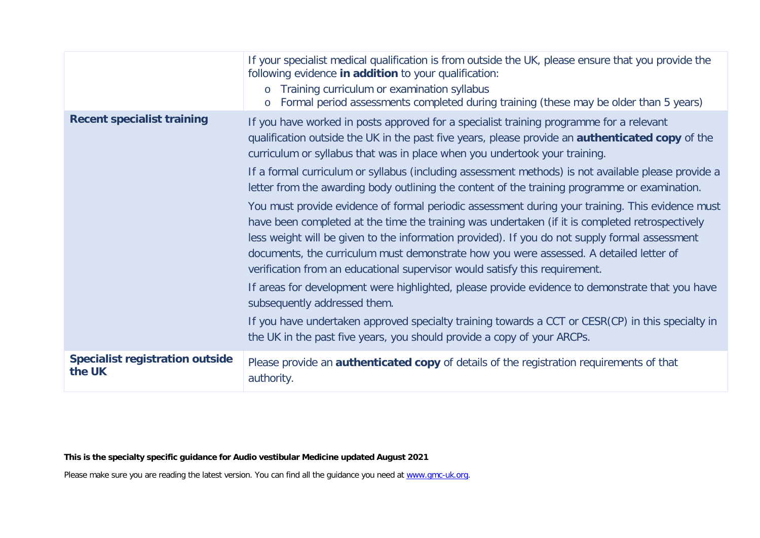|                                                  | If your specialist medical qualification is from outside the UK, please ensure that you provide the<br>following evidence in addition to your qualification:<br>Training curriculum or examination syllabus<br>$\circ$<br>Formal period assessments completed during training (these may be older than 5 years)<br>$\circ$                                                                                                                                                     |
|--------------------------------------------------|--------------------------------------------------------------------------------------------------------------------------------------------------------------------------------------------------------------------------------------------------------------------------------------------------------------------------------------------------------------------------------------------------------------------------------------------------------------------------------|
| <b>Recent specialist training</b>                | If you have worked in posts approved for a specialist training programme for a relevant<br>qualification outside the UK in the past five years, please provide an <b>authenticated copy</b> of the<br>curriculum or syllabus that was in place when you undertook your training.                                                                                                                                                                                               |
|                                                  | If a formal curriculum or syllabus (including assessment methods) is not available please provide a<br>letter from the awarding body outlining the content of the training programme or examination.                                                                                                                                                                                                                                                                           |
|                                                  | You must provide evidence of formal periodic assessment during your training. This evidence must<br>have been completed at the time the training was undertaken (if it is completed retrospectively<br>less weight will be given to the information provided). If you do not supply formal assessment<br>documents, the curriculum must demonstrate how you were assessed. A detailed letter of<br>verification from an educational supervisor would satisfy this requirement. |
|                                                  | If areas for development were highlighted, please provide evidence to demonstrate that you have<br>subsequently addressed them.                                                                                                                                                                                                                                                                                                                                                |
|                                                  | If you have undertaken approved specialty training towards a CCT or CESR(CP) in this specialty in<br>the UK in the past five years, you should provide a copy of your ARCPs.                                                                                                                                                                                                                                                                                                   |
| <b>Specialist registration outside</b><br>the UK | Please provide an <b>authenticated copy</b> of details of the registration requirements of that<br>authority.                                                                                                                                                                                                                                                                                                                                                                  |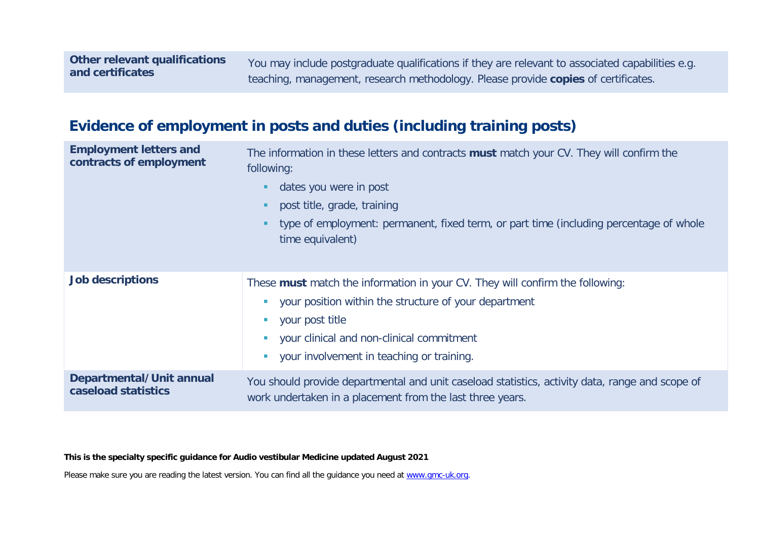You may include postgraduate qualifications if they are relevant to associated capabilities e.g. teaching, management, research methodology. Please provide **copies** of certificates.

# **Evidence of employment in posts and duties (including training posts)**

| <b>Employment letters and</b><br>contracts of employment | The information in these letters and contracts must match your CV. They will confirm the<br>following:<br>dates you were in post<br>post title, grade, training<br>type of employment: permanent, fixed term, or part time (including percentage of whole<br>time equivalent) |
|----------------------------------------------------------|-------------------------------------------------------------------------------------------------------------------------------------------------------------------------------------------------------------------------------------------------------------------------------|
|                                                          |                                                                                                                                                                                                                                                                               |
| <b>Job descriptions</b>                                  | These must match the information in your CV. They will confirm the following:<br>your position within the structure of your department<br>your post title<br>your clinical and non-clinical commitment<br>your involvement in teaching or training.                           |
| Departmental/Unit annual<br>caseload statistics          | You should provide departmental and unit caseload statistics, activity data, range and scope of<br>work undertaken in a placement from the last three years.                                                                                                                  |

**This is the specialty specific guidance for Audio vestibular Medicine updated August 2021**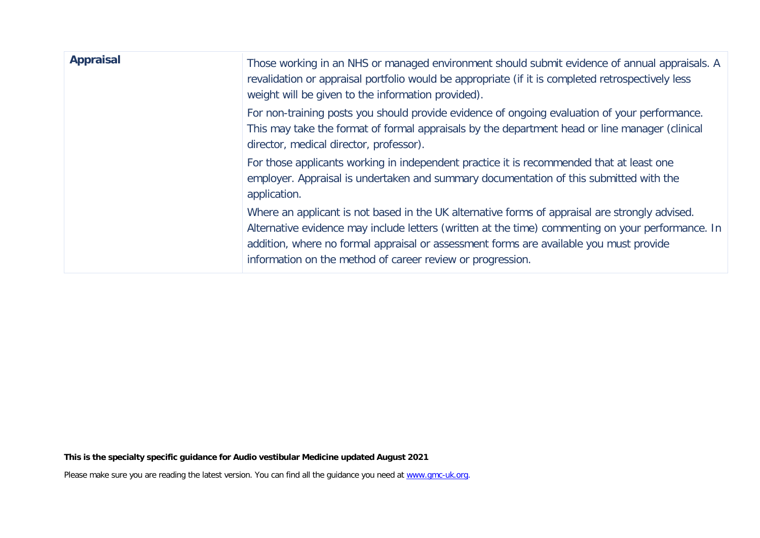| <b>Appraisal</b> | Those working in an NHS or managed environment should submit evidence of annual appraisals. A<br>revalidation or appraisal portfolio would be appropriate (if it is completed retrospectively less<br>weight will be given to the information provided).                                                                                                    |
|------------------|-------------------------------------------------------------------------------------------------------------------------------------------------------------------------------------------------------------------------------------------------------------------------------------------------------------------------------------------------------------|
|                  | For non-training posts you should provide evidence of ongoing evaluation of your performance.<br>This may take the format of formal appraisals by the department head or line manager (clinical<br>director, medical director, professor).                                                                                                                  |
|                  | For those applicants working in independent practice it is recommended that at least one<br>employer. Appraisal is undertaken and summary documentation of this submitted with the<br>application.                                                                                                                                                          |
|                  | Where an applicant is not based in the UK alternative forms of appraisal are strongly advised.<br>Alternative evidence may include letters (written at the time) commenting on your performance. In<br>addition, where no formal appraisal or assessment forms are available you must provide<br>information on the method of career review or progression. |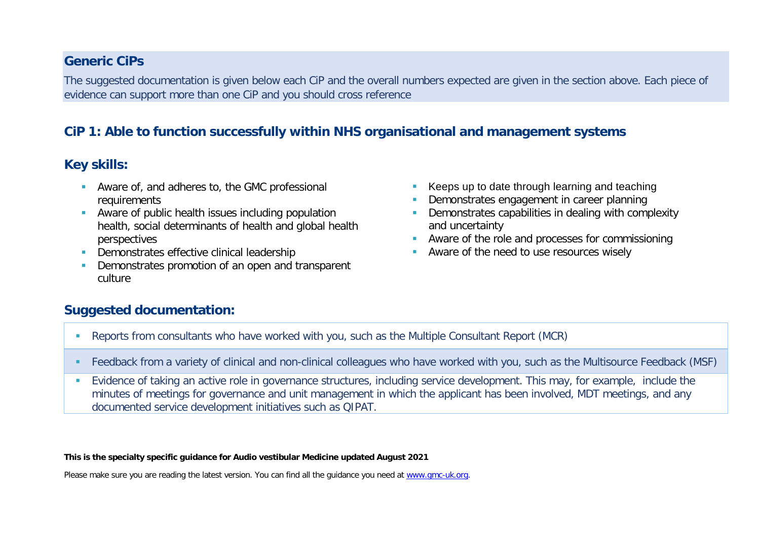#### **Generic CiPs**

The suggested documentation is given below each CiP and the overall numbers expected are given in the section above. Each piece of evidence can support more than one CiP and you should cross reference

### **CiP 1: Able to function successfully within NHS organisational and management systems**

### **Key skills:**

- Aware of, and adheres to, the GMC professional requirements
- Aware of public health issues including population health, social determinants of health and global health perspectives
- **Demonstrates effective clinical leadership**
- Demonstrates promotion of an open and transparent culture
- Keeps up to date through learning and teaching
- Demonstrates engagement in career planning
- **-** Demonstrates capabilities in dealing with complexity and uncertainty
- **Aware of the role and processes for commissioning**
- Aware of the need to use resources wisely

#### **Suggested documentation:**

- Reports from consultants who have worked with you, such as the Multiple Consultant Report (MCR)
- Feedback from a variety of clinical and non-clinical colleagues who have worked with you, such as the Multisource Feedback (MSF)
- Evidence of taking an active role in governance structures, including service development. This may, for example, include the minutes of meetings for governance and unit management in which the applicant has been involved, MDT meetings, and any documented service development initiatives such as QIPAT.

**This is the specialty specific guidance for Audio vestibular Medicine updated August 2021**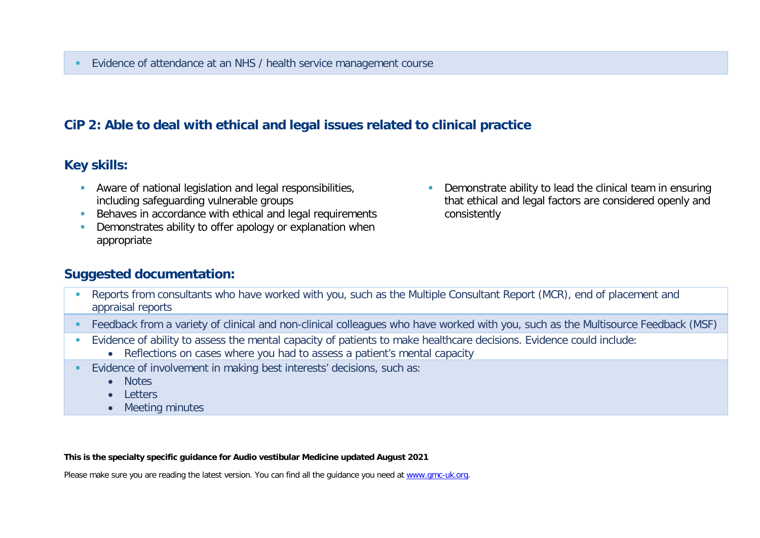### **CiP 2: Able to deal with ethical and legal issues related to clinical practice**

#### **Key skills:**

- Aware of national legislation and legal responsibilities, including safeguarding vulnerable groups
- Behaves in accordance with ethical and legal requirements
- **Demonstrates ability to offer apology or explanation when** appropriate
- **Demonstrate ability to lead the clinical team in ensuring** that ethical and legal factors are considered openly and consistently

#### **Suggested documentation:**

- Reports from consultants who have worked with you, such as the Multiple Consultant Report (MCR), end of placement and appraisal reports
- Feedback from a variety of clinical and non-clinical colleagues who have worked with you, such as the Multisource Feedback (MSF)
- Evidence of ability to assess the mental capacity of patients to make healthcare decisions. Evidence could include:
	- Reflections on cases where you had to assess a patient's mental capacity
- Evidence of involvement in making best interests' decisions, such as:
	- Notes
	- Letters
	- Meeting minutes

#### **This is the specialty specific guidance for Audio vestibular Medicine updated August 2021**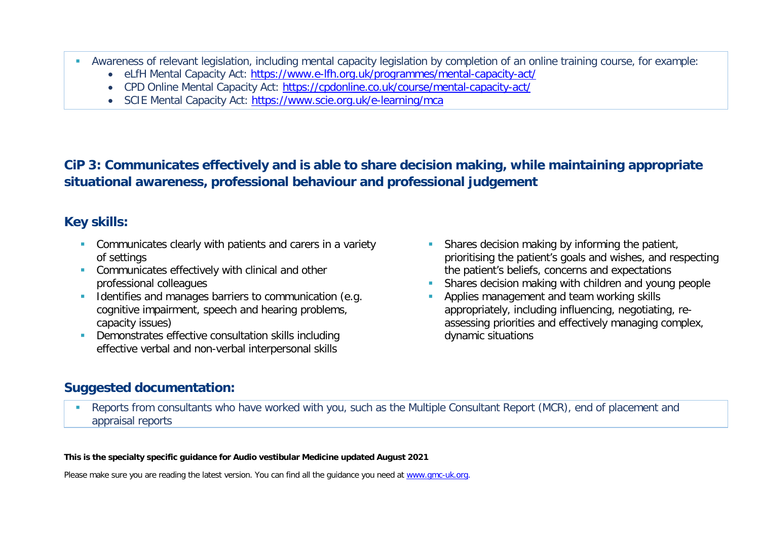- Awareness of relevant legislation, including mental capacity legislation by completion of an online training course, for example:
	- eLfH Mental Capacity Act:<https://www.e-lfh.org.uk/programmes/mental-capacity-act/>
	- CPD Online Mental Capacity Act:<https://cpdonline.co.uk/course/mental-capacity-act/>
	- SCIE Mental Capacity Act:<https://www.scie.org.uk/e-learning/mca>

# **CiP 3: Communicates effectively and is able to share decision making, while maintaining appropriate situational awareness, professional behaviour and professional judgement**

### **Key skills:**

- **Communicates clearly with patients and carers in a variety** of settings
- **Communicates effectively with clinical and other** professional colleagues
- Identifies and manages barriers to communication (e.g. cognitive impairment, speech and hearing problems, capacity issues)
- **Demonstrates effective consultation skills including** effective verbal and non-verbal interpersonal skills
- **Shares decision making by informing the patient,** prioritising the patient's goals and wishes, and respecting the patient's beliefs, concerns and expectations
- Shares decision making with children and young people
- Applies management and team working skills appropriately, including influencing, negotiating, reassessing priorities and effectively managing complex, dynamic situations

### **Suggested documentation:**

 Reports from consultants who have worked with you, such as the Multiple Consultant Report (MCR), end of placement and appraisal reports

#### **This is the specialty specific guidance for Audio vestibular Medicine updated August 2021**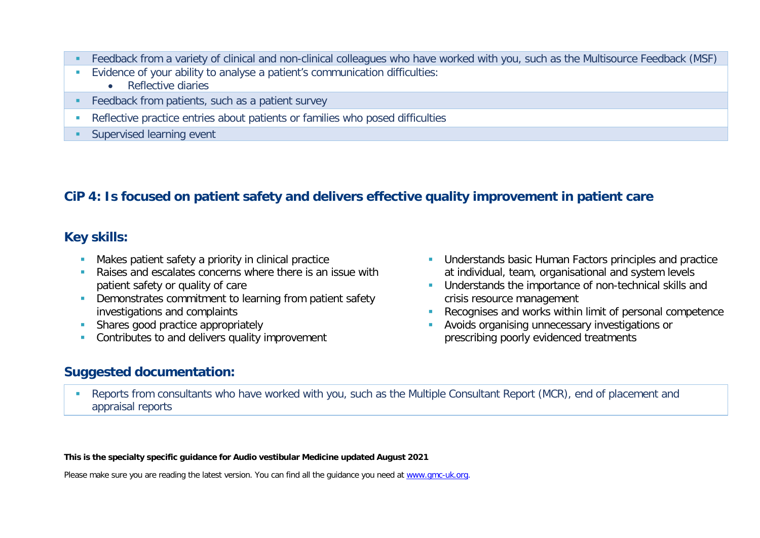- Feedback from a variety of clinical and non-clinical colleagues who have worked with you, such as the Multisource Feedback (MSF)
- Evidence of your ability to analyse a patient's communication difficulties:
	- Reflective diaries
- **Feedback from patients, such as a patient survey**
- Reflective practice entries about patients or families who posed difficulties
- **Supervised learning event**

# **CiP 4: Is focused on patient safety and delivers effective quality improvement in patient care**

### **Key skills:**

- **Makes patient safety a priority in clinical practice**
- **Raises and escalates concerns where there is an issue with** patient safety or quality of care
- **Demonstrates commitment to learning from patient safety** investigations and complaints
- Shares good practice appropriately
- Contributes to and delivers quality improvement

### **Suggested documentation:**

- **Understands basic Human Factors principles and practice** at individual, team, organisational and system levels
- **Understands the importance of non-technical skills and** crisis resource management
- Recognises and works within limit of personal competence
- Avoids organising unnecessary investigations or prescribing poorly evidenced treatments
- Reports from consultants who have worked with you, such as the Multiple Consultant Report (MCR), end of placement and appraisal reports

**This is the specialty specific guidance for Audio vestibular Medicine updated August 2021**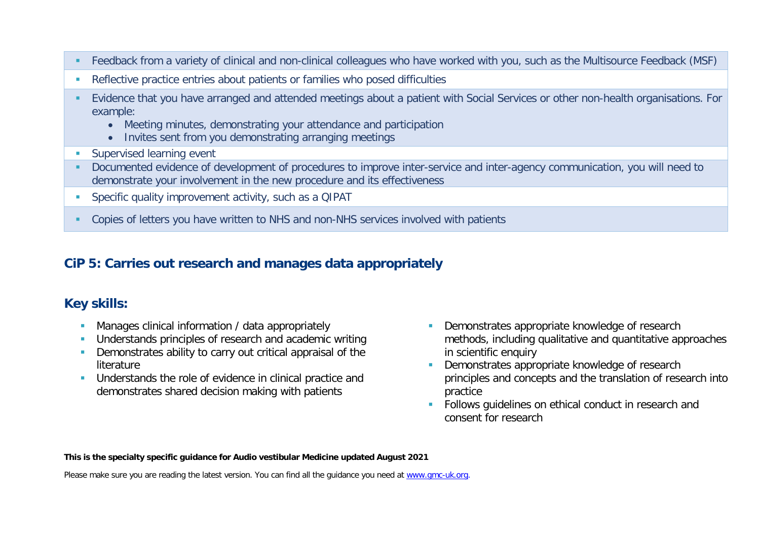- Feedback from a variety of clinical and non-clinical colleagues who have worked with you, such as the Multisource Feedback (MSF)
- Reflective practice entries about patients or families who posed difficulties
- Evidence that you have arranged and attended meetings about a patient with Social Services or other non-health organisations. For example:
	- Meeting minutes, demonstrating your attendance and participation
	- Invites sent from you demonstrating arranging meetings
- **Supervised learning event**
- Documented evidence of development of procedures to improve inter-service and inter-agency communication, you will need to demonstrate your involvement in the new procedure and its effectiveness
- Specific quality improvement activity, such as a QIPAT
- Copies of letters you have written to NHS and non-NHS services involved with patients

#### **CiP 5: Carries out research and manages data appropriately**

### **Key skills:**

- **Manages clinical information / data appropriately**
- Understands principles of research and academic writing
- **•** Demonstrates ability to carry out critical appraisal of the literature
- **Understands the role of evidence in clinical practice and** demonstrates shared decision making with patients
- Demonstrates appropriate knowledge of research methods, including qualitative and quantitative approaches in scientific enquiry
- Demonstrates appropriate knowledge of research principles and concepts and the translation of research into practice
- **Follows quidelines on ethical conduct in research and** consent for research

**This is the specialty specific guidance for Audio vestibular Medicine updated August 2021**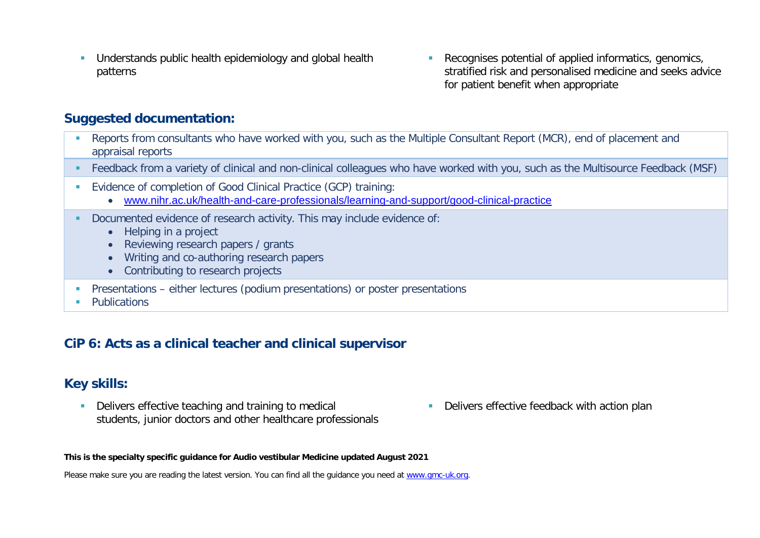- **Understands public health epidemiology and global health** patterns
- Recognises potential of applied informatics, genomics, stratified risk and personalised medicine and seeks advice for patient benefit when appropriate

- Reports from consultants who have worked with you, such as the Multiple Consultant Report (MCR), end of placement and appraisal reports
- Feedback from a variety of clinical and non-clinical colleagues who have worked with you, such as the Multisource Feedback (MSF)
- Evidence of completion of Good Clinical Practice (GCP) training:
	- [www.nihr.ac.uk/health-and-care-professionals/learning-and-support/good-clinical-practice](https://www.nihr.ac.uk/health-and-care-professionals/learning-and-support/good-clinical-practice.htm)
- Documented evidence of research activity. This may include evidence of:
	- Helping in a project
	- Reviewing research papers / grants
	- Writing and co-authoring research papers
	- Contributing to research projects
- **Presentations either lectures (podium presentations) or poster presentations**
- **Publications**

#### **CiP 6: Acts as a clinical teacher and clinical supervisor**

#### **Key skills:**

- Delivers effective teaching and training to medical students, junior doctors and other healthcare professionals
- **Delivers effective feedback with action plan**

**This is the specialty specific guidance for Audio vestibular Medicine updated August 2021**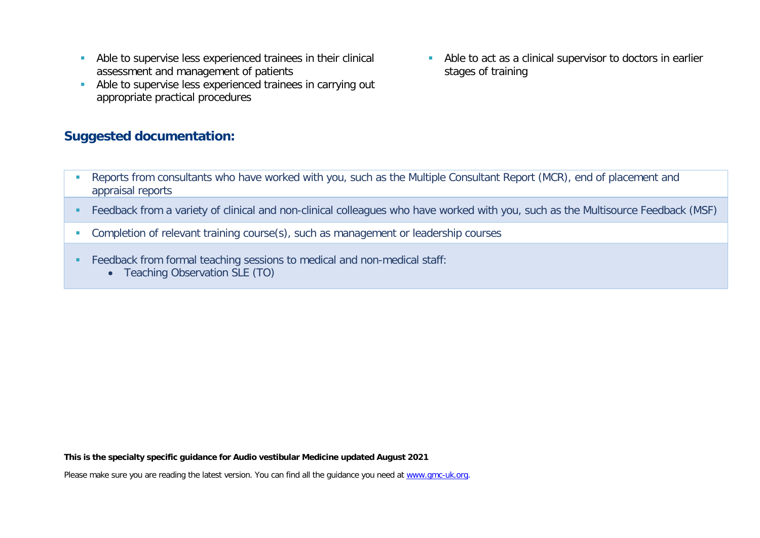- Able to supervise less experienced trainees in their clinical assessment and management of patients
- Able to supervise less experienced trainees in carrying out appropriate practical procedures

Able to act as a clinical supervisor to doctors in earlier stages of training

- Reports from consultants who have worked with you, such as the Multiple Consultant Report (MCR), end of placement and appraisal reports
- Feedback from a variety of clinical and non-clinical colleagues who have worked with you, such as the Multisource Feedback (MSF)
- **Completion of relevant training course(s), such as management or leadership courses**
- Feedback from formal teaching sessions to medical and non-medical staff:
	- Teaching Observation SLE (TO)

**This is the specialty specific guidance for Audio vestibular Medicine updated August 2021**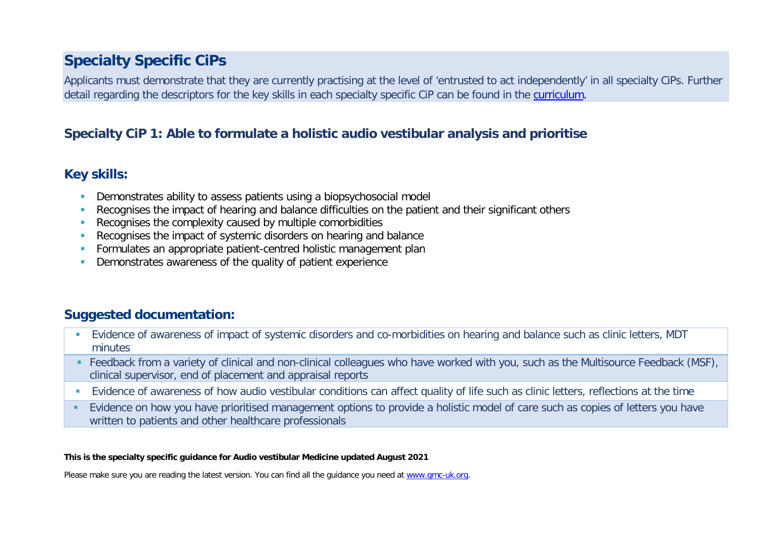# **Specialty Specific CiPs**

Applicants must demonstrate that they are currently practising at the level of 'entrusted to act independently' in all specialty CiPs. Further detail regarding the descriptors for the key skills in each specialty specific CiP can be found in the [curriculum.](https://www.gmc-uk.org/education/standards-guidance-and-curricula/curricula#T)

### **Specialty CiP 1: Able to formulate a holistic audio vestibular analysis and prioritise**

#### **Key skills:**

- Demonstrates ability to assess patients using a biopsychosocial model
- Recognises the impact of hearing and balance difficulties on the patient and their significant others
- **Recognises the complexity caused by multiple comorbidities**
- Recognises the impact of systemic disorders on hearing and balance
- **Formulates an appropriate patient-centred holistic management plan**
- Demonstrates awareness of the quality of patient experience

# **Suggested documentation:**

- Evidence of awareness of impact of systemic disorders and co-morbidities on hearing and balance such as clinic letters, MDT minutes
- Feedback from a variety of clinical and non-clinical colleagues who have worked with you, such as the Multisource Feedback (MSF), clinical supervisor, end of placement and appraisal reports
- **Evidence of awareness of how audio vestibular conditions can affect quality of life such as clinic letters, reflections at the time**
- Evidence on how you have prioritised management options to provide a holistic model of care such as copies of letters you have written to patients and other healthcare professionals

#### **This is the specialty specific guidance for Audio vestibular Medicine updated August 2021**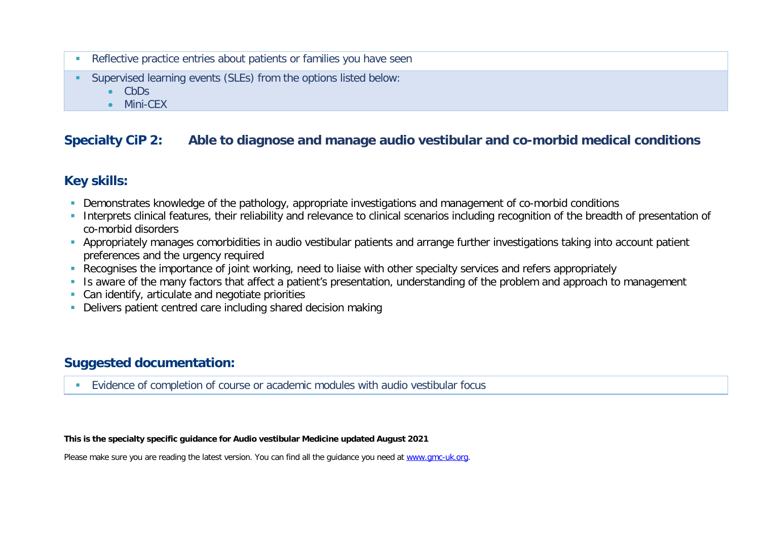- **Reflective practice entries about patients or families you have seen**
- Supervised learning events (SLEs) from the options listed below:
	- CbDs
	- Mini-CEX

### **Specialty CiP 2: Able to diagnose and manage audio vestibular and co-morbid medical conditions**

### **Key skills:**

- Demonstrates knowledge of the pathology, appropriate investigations and management of co-morbid conditions
- Interprets clinical features, their reliability and relevance to clinical scenarios including recognition of the breadth of presentation of co-morbid disorders
- Appropriately manages comorbidities in audio vestibular patients and arrange further investigations taking into account patient preferences and the urgency required
- Recognises the importance of joint working, need to liaise with other specialty services and refers appropriately
- Is aware of the many factors that affect a patient's presentation, understanding of the problem and approach to management
- **Can identify, articulate and negotiate priorities**
- Delivers patient centred care including shared decision making

#### **Suggested documentation:**

Evidence of completion of course or academic modules with audio vestibular focus

#### **This is the specialty specific guidance for Audio vestibular Medicine updated August 2021**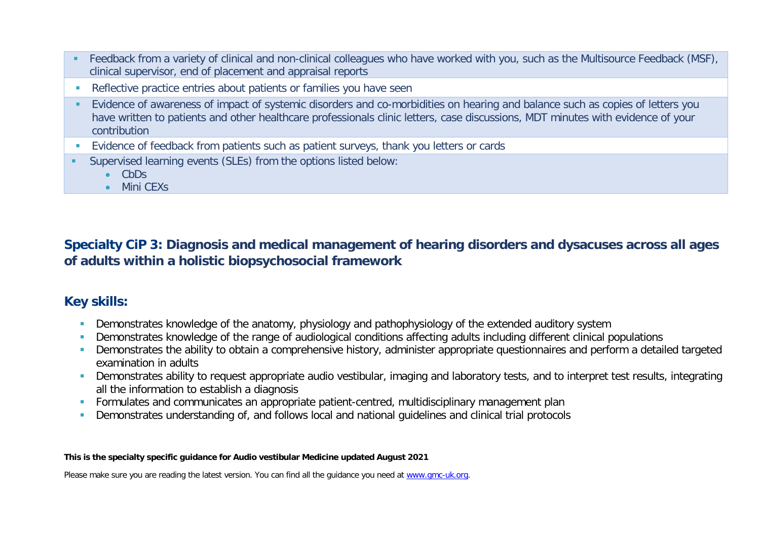- Feedback from a variety of clinical and non-clinical colleagues who have worked with you, such as the Multisource Feedback (MSF), clinical supervisor, end of placement and appraisal reports
- **Reflective practice entries about patients or families you have seen**
- Evidence of awareness of impact of systemic disorders and co-morbidities on hearing and balance such as copies of letters you have written to patients and other healthcare professionals clinic letters, case discussions, MDT minutes with evidence of your contribution
- **Evidence of feedback from patients such as patient surveys, thank you letters or cards**
- Supervised learning events (SLEs) from the options listed below:
	- CbDs
	- Mini CEXs

**Specialty CiP 3: Diagnosis and medical management of hearing disorders and dysacuses across all ages of adults within a holistic biopsychosocial framework**

### **Key skills:**

- **Demonstrates knowledge of the anatomy, physiology and pathophysiology of the extended auditory system**
- **Demonstrates knowledge of the range of audiological conditions affecting adults including different clinical populations**
- **Demonstrates the ability to obtain a comprehensive history, administer appropriate questionnaires and perform a detailed targeted** examination in adults
- **Demonstrates ability to request appropriate audio vestibular, imaging and laboratory tests, and to interpret test results, integrating** all the information to establish a diagnosis
- **Formulates and communicates an appropriate patient-centred, multidisciplinary management plan**
- Demonstrates understanding of, and follows local and national guidelines and clinical trial protocols

#### **This is the specialty specific guidance for Audio vestibular Medicine updated August 2021**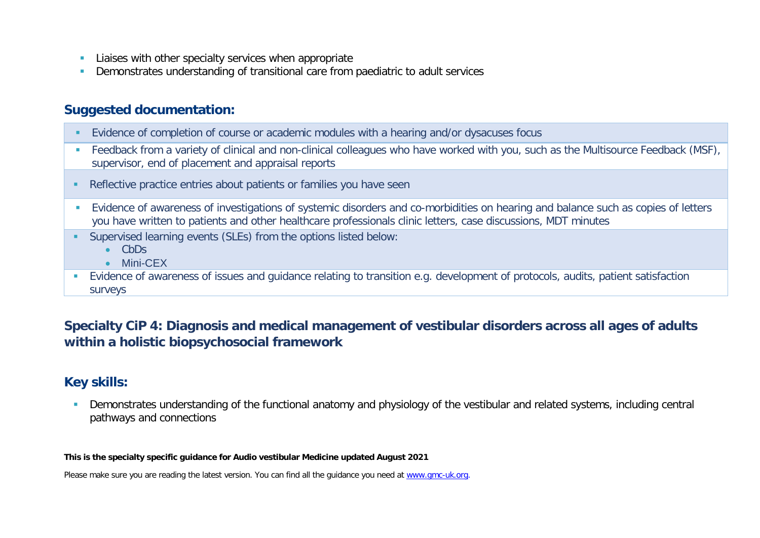- **Liaises with other specialty services when appropriate**
- Demonstrates understanding of transitional care from paediatric to adult services

- Evidence of completion of course or academic modules with a hearing and/or dysacuses focus
- **Feedback from a variety of clinical and non-clinical colleagues who have worked with you, such as the Multisource Feedback (MSF),** supervisor, end of placement and appraisal reports
- **Reflective practice entries about patients or families you have seen**
- Evidence of awareness of investigations of systemic disorders and co-morbidities on hearing and balance such as copies of letters you have written to patients and other healthcare professionals clinic letters, case discussions, MDT minutes
- Supervised learning events (SLEs) from the options listed below:
	- CbDs
	- Mini-CEX
- Evidence of awareness of issues and guidance relating to transition e.g. development of protocols, audits, patient satisfaction surveys

### **Specialty CiP 4: Diagnosis and medical management of vestibular disorders across all ages of adults within a holistic biopsychosocial framework**

### **Key skills:**

 Demonstrates understanding of the functional anatomy and physiology of the vestibular and related systems, including central pathways and connections

#### **This is the specialty specific guidance for Audio vestibular Medicine updated August 2021**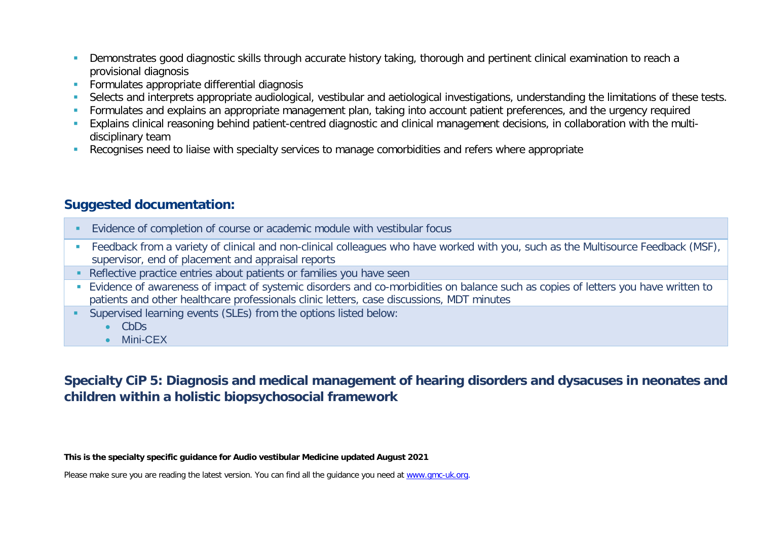- **Demonstrates good diagnostic skills through accurate history taking, thorough and pertinent clinical examination to reach a** provisional diagnosis
- **Formulates appropriate differential diagnosis**
- Selects and interprets appropriate audiological, vestibular and aetiological investigations, understanding the limitations of these tests.
- Formulates and explains an appropriate management plan, taking into account patient preferences, and the urgency required
- Explains clinical reasoning behind patient-centred diagnostic and clinical management decisions, in collaboration with the multidisciplinary team
- **Recognises need to liaise with specialty services to manage comorbidities and refers where appropriate**

- Evidence of completion of course or academic module with vestibular focus
- **Feedback from a variety of clinical and non-clinical colleagues who have worked with you, such as the Multisource Feedback (MSF),** supervisor, end of placement and appraisal reports
- Reflective practice entries about patients or families you have seen
- Evidence of awareness of impact of systemic disorders and co-morbidities on balance such as copies of letters you have written to patients and other healthcare professionals clinic letters, case discussions, MDT minutes
- Supervised learning events (SLEs) from the options listed below:
	- CbDs
	- Mini-CEX

# **Specialty CiP 5: Diagnosis and medical management of hearing disorders and dysacuses in neonates and children within a holistic biopsychosocial framework**

**This is the specialty specific guidance for Audio vestibular Medicine updated August 2021**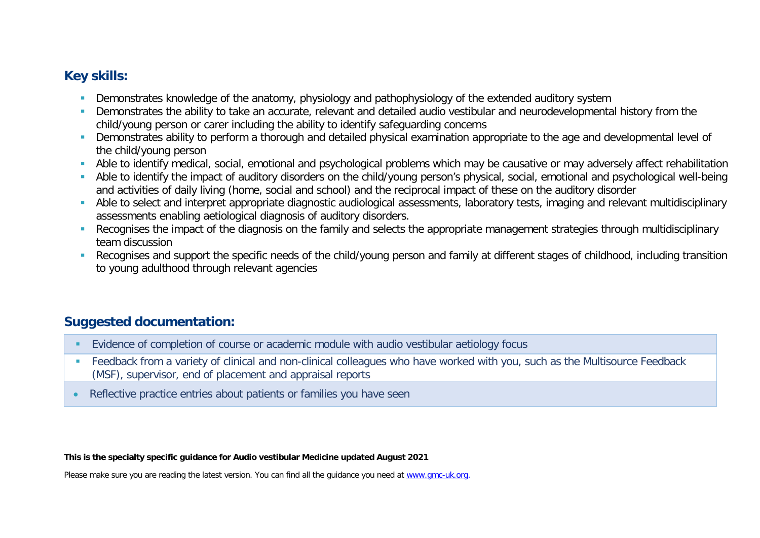### **Key skills:**

- **Demonstrates knowledge of the anatomy, physiology and pathophysiology of the extended auditory system**
- Demonstrates the ability to take an accurate, relevant and detailed audio vestibular and neurodevelopmental history from the child/young person or carer including the ability to identify safeguarding concerns
- Demonstrates ability to perform a thorough and detailed physical examination appropriate to the age and developmental level of the child/young person
- Able to identify medical, social, emotional and psychological problems which may be causative or may adversely affect rehabilitation
- Able to identify the impact of auditory disorders on the child/young person's physical, social, emotional and psychological well-being and activities of daily living (home, social and school) and the reciprocal impact of these on the auditory disorder
- Able to select and interpret appropriate diagnostic audiological assessments, laboratory tests, imaging and relevant multidisciplinary assessments enabling aetiological diagnosis of auditory disorders.
- Recognises the impact of the diagnosis on the family and selects the appropriate management strategies through multidisciplinary team discussion
- Recognises and support the specific needs of the child/young person and family at different stages of childhood, including transition to young adulthood through relevant agencies

# **Suggested documentation:**

- Evidence of completion of course or academic module with audio vestibular aetiology focus
- Feedback from a variety of clinical and non-clinical colleagues who have worked with you, such as the Multisource Feedback (MSF), supervisor, end of placement and appraisal reports
- Reflective practice entries about patients or families you have seen

**This is the specialty specific guidance for Audio vestibular Medicine updated August 2021**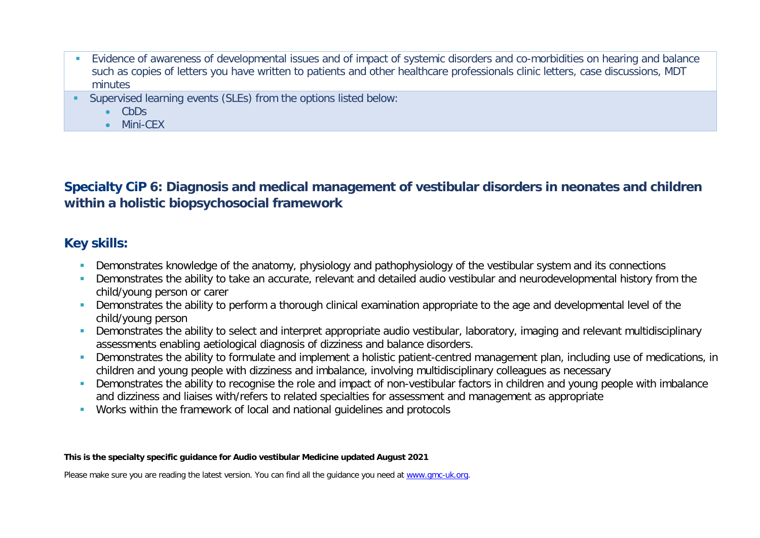- Evidence of awareness of developmental issues and of impact of systemic disorders and co-morbidities on hearing and balance such as copies of letters you have written to patients and other healthcare professionals clinic letters, case discussions, MDT minutes
- Supervised learning events (SLEs) from the options listed below:
	- CbDs
	- Mini-CEX

**Specialty CiP 6: Diagnosis and medical management of vestibular disorders in neonates and children within a holistic biopsychosocial framework**

#### **Key skills:**

- **Demonstrates knowledge of the anatomy, physiology and pathophysiology of the vestibular system and its connections**
- **Demonstrates the ability to take an accurate, relevant and detailed audio vestibular and neurodevelopmental history from the** child/young person or carer
- **Demonstrates the ability to perform a thorough clinical examination appropriate to the age and developmental level of the** child/young person
- **Demonstrates the ability to select and interpret appropriate audio vestibular, laboratory, imaging and relevant multidisciplinary** assessments enabling aetiological diagnosis of dizziness and balance disorders.
- Demonstrates the ability to formulate and implement a holistic patient-centred management plan, including use of medications, in children and young people with dizziness and imbalance, involving multidisciplinary colleagues as necessary
- **Demonstrates the ability to recognise the role and impact of non-vestibular factors in children and young people with imbalance** and dizziness and liaises with/refers to related specialties for assessment and management as appropriate
- Works within the framework of local and national guidelines and protocols

#### **This is the specialty specific guidance for Audio vestibular Medicine updated August 2021**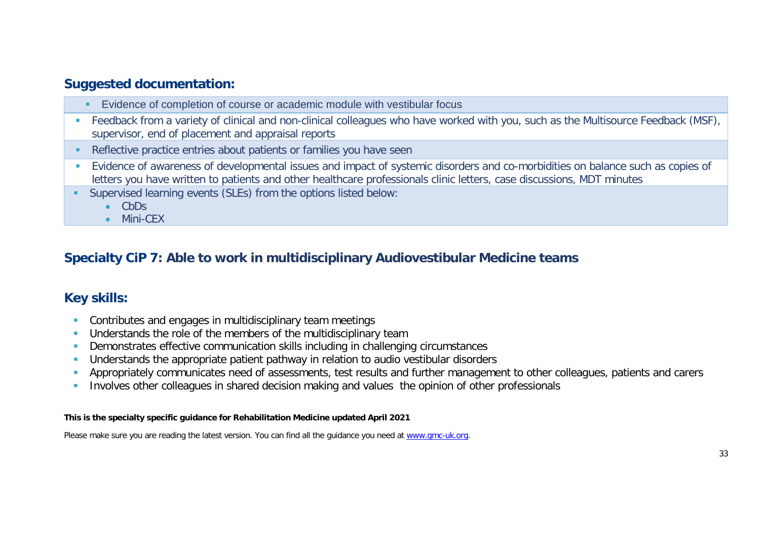- **Evidence of completion of course or academic module with vestibular focus**
- **Feedback from a variety of clinical and non-clinical colleagues who have worked with you, such as the Multisource Feedback (MSF),** supervisor, end of placement and appraisal reports
- Reflective practice entries about patients or families you have seen
- Evidence of awareness of developmental issues and impact of systemic disorders and co-morbidities on balance such as copies of letters you have written to patients and other healthcare professionals clinic letters, case discussions, MDT minutes
- Supervised learning events (SLEs) from the options listed below:
	- CbDs
	- Mini-CEX

### **Specialty CiP 7: Able to work in multidisciplinary Audiovestibular Medicine teams**

#### **Key skills:**

- **Contributes and engages in multidisciplinary team meetings**
- **Understands the role of the members of the multidisciplinary team**
- Demonstrates effective communication skills including in challenging circumstances
- Understands the appropriate patient pathway in relation to audio vestibular disorders
- Appropriately communicates need of assessments, test results and further management to other colleagues, patients and carers
- **Involves other colleagues in shared decision making and values the opinion of other professionals**

#### **This is the specialty specific guidance for Rehabilitation Medicine updated April 2021**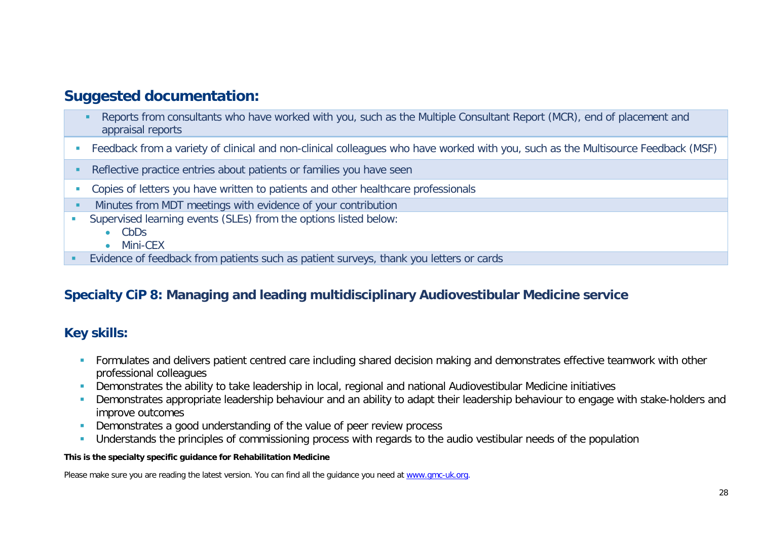- Reports from consultants who have worked with you, such as the Multiple Consultant Report (MCR), end of placement and appraisal reports
- Feedback from a variety of clinical and non-clinical colleagues who have worked with you, such as the Multisource Feedback (MSF)
- **Reflective practice entries about patients or families you have seen**
- Copies of letters you have written to patients and other healthcare professionals
- **Minutes from MDT meetings with evidence of your contribution**
- Supervised learning events (SLEs) from the options listed below:
	- CbDs
	- Mini-CEX
- Evidence of feedback from patients such as patient surveys, thank you letters or cards

### **Specialty CiP 8: Managing and leading multidisciplinary Audiovestibular Medicine service**

### **Key skills:**

- **Formulates and delivers patient centred care including shared decision making and demonstrates effective teamwork with other** professional colleagues
- Demonstrates the ability to take leadership in local, regional and national Audiovestibular Medicine initiatives
- Demonstrates appropriate leadership behaviour and an ability to adapt their leadership behaviour to engage with stake-holders and improve outcomes
- Demonstrates a good understanding of the value of peer review process
- Understands the principles of commissioning process with regards to the audio vestibular needs of the population

#### **This is the specialty specific guidance for Rehabilitation Medicine**